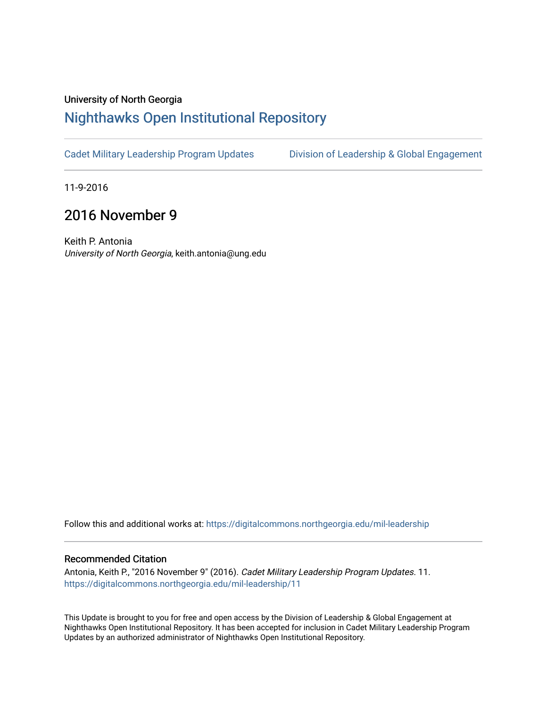## University of North Georgia

## [Nighthawks Open Institutional Repository](https://digitalcommons.northgeorgia.edu/)

[Cadet Military Leadership Program Updates](https://digitalcommons.northgeorgia.edu/mil-leadership) [Division of Leadership & Global Engagement](https://digitalcommons.northgeorgia.edu/leadership) 

11-9-2016

## 2016 November 9

Keith P. Antonia University of North Georgia, keith.antonia@ung.edu

Follow this and additional works at: [https://digitalcommons.northgeorgia.edu/mil-leadership](https://digitalcommons.northgeorgia.edu/mil-leadership?utm_source=digitalcommons.northgeorgia.edu%2Fmil-leadership%2F11&utm_medium=PDF&utm_campaign=PDFCoverPages) 

## Recommended Citation

Antonia, Keith P., "2016 November 9" (2016). Cadet Military Leadership Program Updates. 11. [https://digitalcommons.northgeorgia.edu/mil-leadership/11](https://digitalcommons.northgeorgia.edu/mil-leadership/11?utm_source=digitalcommons.northgeorgia.edu%2Fmil-leadership%2F11&utm_medium=PDF&utm_campaign=PDFCoverPages)

This Update is brought to you for free and open access by the Division of Leadership & Global Engagement at Nighthawks Open Institutional Repository. It has been accepted for inclusion in Cadet Military Leadership Program Updates by an authorized administrator of Nighthawks Open Institutional Repository.